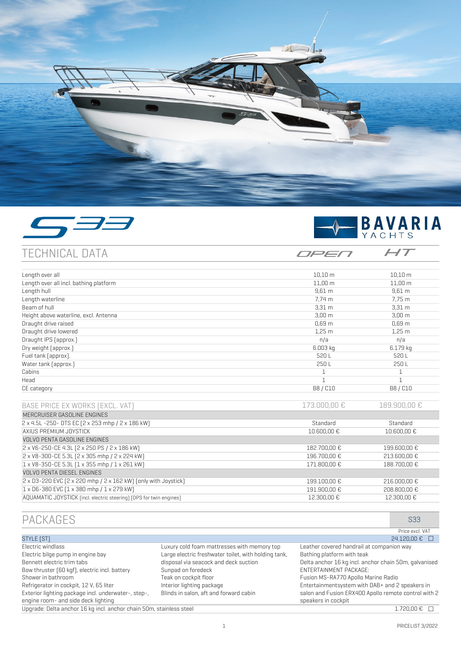





OPEN

 $HT$ 

TECHNICAL DATA

| Length over all                                                     | 10.10 <sub>m</sub> | 10.10 m           |
|---------------------------------------------------------------------|--------------------|-------------------|
| Length over all incl. bathing platform                              | $11,00 \, m$       | $11,00 \, m$      |
| Length hull                                                         | $9,61 \text{ m}$   | 9.61 <sub>m</sub> |
| Length waterline                                                    | 7.74 m             | 7.75 m            |
| Beam of hull                                                        | 3.31 <sub>m</sub>  | 3.31 <sub>m</sub> |
| Height above waterline, excl. Antenna                               | 3.00 <sub>m</sub>  | 3.00 <sub>m</sub> |
| Draught drive raised                                                | 0.69 <sub>m</sub>  | 0.69 <sub>m</sub> |
| Draught drive lowered                                               | 1.25 <sub>m</sub>  | 1.25 <sub>m</sub> |
| Draught IPS [approx.]                                               | n/a                | n/a               |
| Dry weight [approx.]                                                | 6.003 kg           | 6.179 kg          |
| Fuel tank [approx].                                                 | 520L               | 520L              |
| Water tank (approx.)                                                | 250L               | 250L              |
| Cabins                                                              |                    |                   |
| Head                                                                | 1                  | 1                 |
| CE category                                                         | B8 / C10           | B8 / C10          |
| BASE PRICE EX WORKS (EXCL. VAT)                                     | 173.000,00 €       | 189,900,00 €      |
| MERCRUISER GASOLINE ENGINES                                         |                    |                   |
| 2 x 4.5L -250- DTS EC [2 x 253 mhp / 2 x 186 kW]                    | Standard           | Standard          |
| AXIUS PREMIUM JOYSTICK                                              | 10.600,00 €        | 10.600,00 €       |
| <b>VOLVO PENTA GASOLINE ENGINES</b>                                 |                    |                   |
| 2 x V6-250-CE 4.3L (2 x 250 PS / 2 x 186 kW)                        | 182.700,00 €       | 199.600,00 €      |
| 2 x V8-300-CE 5.3L [2 x 305 mhp / 2 x 224 kW]                       | 196.700.00 €       | 213,600,00 €      |
| 1 x V8-350-CE 5.3L [1 x 355 mhp / 1 x 261 kW]                       | 171.800.00 €       | 188.700.00 €      |
| VOLVO PENTA DIESEL ENGINES                                          |                    |                   |
| 2 x D3-220 EVC (2 x 220 mhp / 2 x 162 kW) (only with Joystick)      | 199.100,00 €       | 216.000,00 €      |
| 1 x D6-380 EVC [1 x 380 mhp / 1 x 279 kW]                           | 191.900,00 €       | 208.800,00 €      |
| AQUAMATIC JOYSTICK (incl. electric steering) (DPS for twin engines) | 12.300,00 €        | 12.300,00 €       |

AQUAMATIC JOYSTICK (incl. electric steering) (DPS for twin engines)

| PACKAGES                                                            |                                                      | S33                                                   |
|---------------------------------------------------------------------|------------------------------------------------------|-------------------------------------------------------|
|                                                                     |                                                      | Price excl. VAT                                       |
| STYLE [ST]                                                          |                                                      | 24.120,00 € □                                         |
| Electric windlass                                                   | Luxury cold foam mattresses with memory top          | Leather covered handrail at companion way             |
| Electric bilge pump in engine bay                                   | Large electric freshwater toilet, with holding tank, | Bathing platform with teak                            |
| Bennett electric trim tabs                                          | disposal via seacock and deck suction                | Delta anchor 16 kg incl. anchor chain 50m, galvanised |
| Bow thruster (60 kgf), electric incl. battery                       | Sunpad on foredeck                                   | ENTERTAINMENT PACKAGE:                                |
| Shower in bathroom                                                  | Teak on cockpit floor                                | Fusion MS-RA770 Apollo Marine Radio                   |
| Refrigerator in cockpit, 12 V, 65 liter                             | Interior lighting package                            | Entertainmentsystem with DAB+ and 2 speakers in       |
| Exterior lighting package incl. underwater-, step-,                 | Blinds in salon, aft and forward cabin               | salon and Fusion ERX400 Apollo remote control with 2  |
| engine room- and side deck lighting                                 |                                                      | speakers in cockpit                                   |
| Upgrade: Delta anchor 16 kg incl. anchor chain 50m, stainless steel |                                                      | $1.720.00 \& \square$                                 |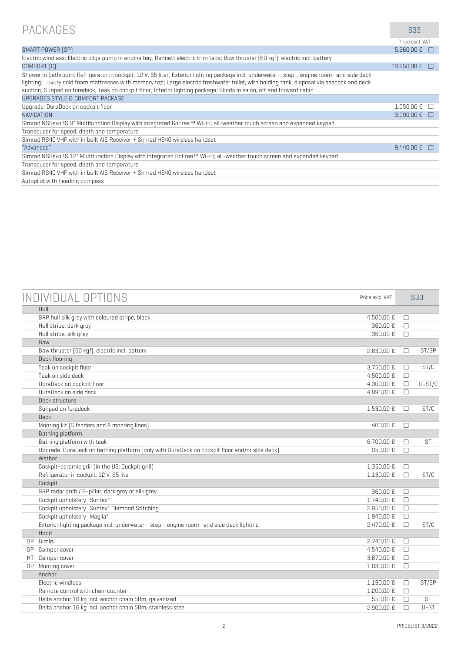| PACKAGES                                                                                                                                                                                                                                                                                                                                                                                                          | S33                 |
|-------------------------------------------------------------------------------------------------------------------------------------------------------------------------------------------------------------------------------------------------------------------------------------------------------------------------------------------------------------------------------------------------------------------|---------------------|
|                                                                                                                                                                                                                                                                                                                                                                                                                   | Price excl. VAT     |
| SMART POWER [SP]                                                                                                                                                                                                                                                                                                                                                                                                  | $5.360,00 \in \Box$ |
| Electric windlass; Electric bilge pump in engine bay; Bennett electric trim tabs; Bow thruster (60 kgf), electric incl. battery                                                                                                                                                                                                                                                                                   |                     |
| COMFORT [C]                                                                                                                                                                                                                                                                                                                                                                                                       | 10.950,00 €<br>H    |
| Shower in bathroom; Refrigerator in cockpit, 12 V, 65 liter; Exterior lighting package incl. underwater-, step-, engine room- and side deck<br>lighting; Luxury cold foam mattresses with memory top; Large electric freshwater toilet, with holding tank, disposal via seacock and deck<br>suction; Sunpad on foredeck; Teak on cockpit floor; Interior lighting package; Blinds in salon, aft and forward cabin |                     |
| UPGRADES STYLE & COMFORT PACKAGE                                                                                                                                                                                                                                                                                                                                                                                  |                     |
| Upgrade: DuraDeck on cockpit floor                                                                                                                                                                                                                                                                                                                                                                                | $1.050,00 \in$      |
| NAVIGATION                                                                                                                                                                                                                                                                                                                                                                                                        | 3.990,00 €<br>n     |
| Simrad NSSevo3S 9" Multifunction Display with integrated GoFree™ Wi-Fi; all-weather touch screen and expanded keypad                                                                                                                                                                                                                                                                                              |                     |
| Transducer for speed, depth and temperature                                                                                                                                                                                                                                                                                                                                                                       |                     |
| Simrad RS40 VHF with in built AIS Receiver + Simrad HS40 wireless handset                                                                                                                                                                                                                                                                                                                                         |                     |
| "Advanced"                                                                                                                                                                                                                                                                                                                                                                                                        | 9.440.00 €          |
| Simrad NSSevo3S 12" Multifunction Display with integrated GoFree™ Wi-Fi; all-weather touch screen and expanded keypad                                                                                                                                                                                                                                                                                             |                     |
| Transducer for speed, depth and temperature                                                                                                                                                                                                                                                                                                                                                                       |                     |
| Simrad RS40 VHF with in built AIS Receiver + Simrad HS40 wireless handset                                                                                                                                                                                                                                                                                                                                         |                     |
| Autopilot with heading compass                                                                                                                                                                                                                                                                                                                                                                                    |                     |

| INDIVIDUAL OPTIONS                                                                           | Price excl. VAT |        | <b>S33</b> |
|----------------------------------------------------------------------------------------------|-----------------|--------|------------|
| Hull                                                                                         |                 |        |            |
| GRP hull silk grey with coloured stripe, black                                               | 4.500,00 €      | П      |            |
| Hull stripe, dark grey                                                                       | 360,00€         | П      |            |
| Hull stripe, silk grey                                                                       | 360.00€         | П      |            |
| Bow                                                                                          |                 |        |            |
| Bow thruster [60 kgf], electric incl. battery                                                | 2.830.00 €      | □      | ST/SP      |
| Deck flooring                                                                                |                 |        |            |
| Teak on cockpit floor                                                                        | 3.750,00 €      | □      | ST/C       |
| Teak on side deck                                                                            | 4.500.00 €      | $\Box$ |            |
| DuraDeck on cockpit floor                                                                    | 4.300,00 €      | $\Box$ | $U-ST/C$   |
| DuraDeck on side deck                                                                        | 4.990,00 €      | П      |            |
| Deck structure                                                                               |                 |        |            |
| Sunpad on foredeck                                                                           | 1.530,00 €      | $\Box$ | ST/C       |
| <b>Deck</b>                                                                                  |                 |        |            |
| Mooring kit [6 fenders and 4 mooring lines]                                                  | 400,00€         | П      |            |
| Bathing platform                                                                             |                 |        |            |
| Bathing platform with teak                                                                   | 6.700,00 €      | П      | <b>ST</b>  |
| Upgrade: DuraDeck on bathing platform [only with DuraDeck on cockpit floor and/or side deck] | 950,00€         | П      |            |
| Wetbar                                                                                       |                 |        |            |
| Cockpit-ceramic grill (in the US: Cockpit grill)                                             | 1.350,00 €      | П      |            |
| Refrigerator in cockpit, 12 V, 65 liter                                                      | 1.130,00 €      | П      | ST/C       |
| Cockpit                                                                                      |                 |        |            |
| GRP radar arch / B-pillar, dark grey or silk grey                                            | 360,00€         | $\Box$ |            |
| Cockpit upholstery "Suntex"                                                                  | 1.740,00 €      | П      |            |
| Cockpit upholstery "Suntex" Diamond Stitching                                                | 2.950.00 €      | П      |            |
| Cockpit upholstery "Maqlia"                                                                  | 1.940,00 €      | П      |            |
| Exterior lighting package incl. underwater-, step-, engine room- and side deck lighting      | 2.470,00 €      | П      | ST/C       |
| Hood                                                                                         |                 |        |            |
| Bimini<br>0P                                                                                 | 2.740,00 €      | П      |            |
| Camper cover<br>0P                                                                           | 4.540,00 €      | $\Box$ |            |
| Camper cover<br>HT                                                                           | 3.870,00 €      | $\Box$ |            |
| OP Mooring cover                                                                             | 1.030,00 €      | □      |            |
| Anchor                                                                                       |                 |        |            |
| Flectric windlass                                                                            | 1.190,00 €      | П      | ST/SP      |
| Remote control with chain counter                                                            | 1.200,00 €      | П      |            |
| Delta anchor 16 kq incl. anchor chain 50m, qalvanized                                        | 550,00€         | П      | <b>ST</b>  |
| Delta anchor 16 kg incl. anchor chain 50m, stainless steel                                   | 2.900.00 €      | П      | U-ST       |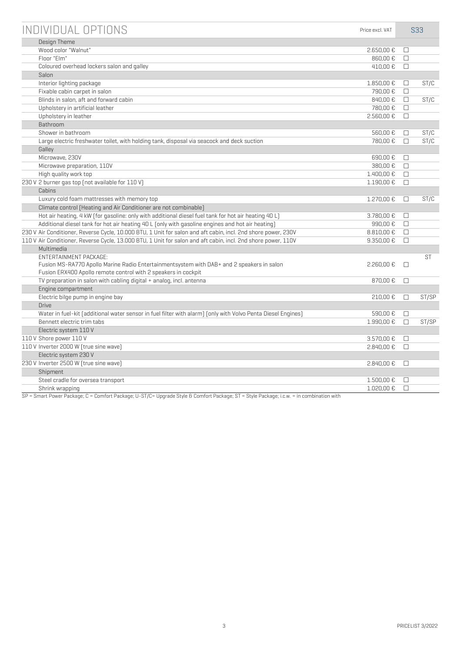| INDIVIDUAL OPTIONS                                                                                            | Price excl. VAT |        | <b>S33</b> |
|---------------------------------------------------------------------------------------------------------------|-----------------|--------|------------|
| Design Theme                                                                                                  |                 |        |            |
| Wood color "Walnut"                                                                                           | 2.650,00 €      | $\Box$ |            |
| Floor "Elm"                                                                                                   | 860.00€         | $\Box$ |            |
| Coloured overhead lockers salon and galley                                                                    | 410,00€         | $\Box$ |            |
| Salon                                                                                                         |                 |        |            |
| Interior lighting package                                                                                     | 1.850,00 €      | $\Box$ | ST/C       |
| Fixable cabin carpet in salon                                                                                 | 790,00 €        | $\Box$ |            |
| Blinds in salon, aft and forward cabin                                                                        | 840.00€         | $\Box$ | ST/C       |
| Upholstery in artificial leather                                                                              | 780.00€         | $\Box$ |            |
| Upholstery in leather                                                                                         | 2.560,00 €      | $\Box$ |            |
| Bathroom                                                                                                      |                 |        |            |
| Shower in bathroom                                                                                            | 560,00€         | □      | ST/C       |
| Large electric freshwater toilet, with holding tank, disposal via seacock and deck suction                    | 780,00 €        | □      | ST/C       |
| Galley                                                                                                        |                 |        |            |
| Microwave, 230V                                                                                               | 690,00€         | □      |            |
| Microwave preparation, 110V                                                                                   | 380,00€         | $\Box$ |            |
| High quality work top                                                                                         | 1.400,00 €      | $\Box$ |            |
| 230 V 2 burner gas top (not available for 110 V)                                                              | 1.190,00 €      | $\Box$ |            |
| Cabins                                                                                                        |                 |        |            |
| Luxury cold foam mattresses with memory top                                                                   | 1.270.00 €      | $\Box$ | ST/C       |
| Climate control (Heating and Air Conditioner are not combinable)                                              |                 |        |            |
| Hot air heating, 4 kW (for gasoline: only with additional diesel fuel tank for hot air heating 40 L)          | 3.780,00 €      | $\Box$ |            |
| Additional diesel tank for hot air heating 40 L [only with gasoline engines and hot air heating]              | 990,00€         | $\Box$ |            |
| 230 V Air Conditioner, Reverse Cycle, 10.000 BTU, 1 Unit for salon and aft cabin, incl. 2nd shore power, 230V | 8.810,00 €      | □      |            |
| 110 V Air Conditioner, Reverse Cycle, 13.000 BTU, 1 Unit for salon and aft cabin, incl. 2nd shore power, 110V | 9.350,00€       | $\Box$ |            |
| Multimedia                                                                                                    |                 |        |            |
| ENTERTAINMENT PACKAGE:                                                                                        |                 |        | <b>ST</b>  |
| Fusion MS-RA770 Apollo Marine Radio Entertainmentsystem with DAB+ and 2 speakers in salon                     | 2.260,00€       | П      |            |
| Fusion ERX400 Apollo remote control with 2 speakers in cockpit                                                |                 |        |            |
| TV preparation in salon with cabling digital + analog, incl. antenna                                          | 870,00 €        | $\Box$ |            |
| Engine compartment                                                                                            |                 |        |            |
| Electric bilge pump in engine bay                                                                             | 210,00€         | П      | ST/SP      |
| <b>Drive</b>                                                                                                  |                 |        |            |
| Water in fuel-kit [additional water sensor in fuel filter with alarm] [only with Volvo Penta Diesel Engines]  | 590,00€         | □      |            |
| Bennett electric trim tabs                                                                                    | 1.990,00 €      | $\Box$ | ST/SP      |
| Electric system 110 V                                                                                         |                 |        |            |
| 110 V Shore power 110 V                                                                                       | 3.570,00 €      | □      |            |
| 110 V Inverter 2000 W [true sine wave]                                                                        | 2.840,00 €      | □      |            |
| Electric system 230 V                                                                                         |                 |        |            |
| 230 V Inverter 2500 W [true sine wave]                                                                        | 2.840,00€       | $\Box$ |            |
| Shipment                                                                                                      |                 |        |            |
| Steel cradle for oversea transport                                                                            | 1.500,00 €      | $\Box$ |            |
| Shrink wrapping                                                                                               | 1.020,00 €      | $\Box$ |            |

SP = Smart Power Package; C = Comfort Package; U-ST/C= Upgrade Style & Comfort Package; ST = Style Package; i.c.w. = in combination with